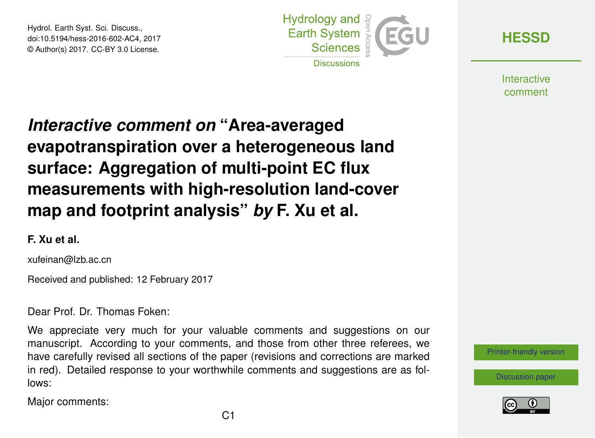Hydrol. Earth Syst. Sci. Discuss., doi:10.5194/hess-2016-602-AC4, 2017 © Author(s) 2017. CC-BY 3.0 License.



**[HESSD](http://www.hydrol-earth-syst-sci-discuss.net/)**

**Interactive** comment

# *Interactive comment on* **"Area-averaged evapotranspiration over a heterogeneous land surface: Aggregation of multi-point EC flux measurements with high-resolution land-cover map and footprint analysis"** *by* **F. Xu et al.**

### **F. Xu et al.**

xufeinan@lzb.ac.cn

Received and published: 12 February 2017

Dear Prof. Dr. Thomas Foken:

We appreciate very much for your valuable comments and suggestions on our manuscript. According to your comments, and those from other three referees, we have carefully revised all sections of the paper (revisions and corrections are marked in red). Detailed response to your worthwhile comments and suggestions are as follows:

Major comments:



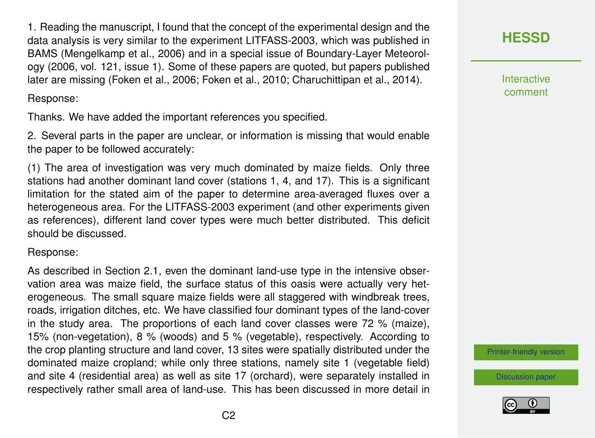1. Reading the manuscript, I found that the concept of the experimental design and the data analysis is very similar to the experiment LITFASS-2003, which was published in BAMS (Mengelkamp et al., 2006) and in a special issue of Boundary-Layer Meteorology (2006, vol. 121, issue 1). Some of these papers are quoted, but papers published later are missing (Foken et al., 2006; Foken et al., 2010; Charuchittipan et al., 2014).

Response:

Thanks. We have added the important references you specified.

2. Several parts in the paper are unclear, or information is missing that would enable the paper to be followed accurately:

(1) The area of investigation was very much dominated by maize fields. Only three stations had another dominant land cover (stations 1, 4, and 17). This is a significant limitation for the stated aim of the paper to determine area-averaged fluxes over a heterogeneous area. For the LITFASS-2003 experiment (and other experiments given as references), different land cover types were much better distributed. This deficit should be discussed.

Response:

As described in Section 2.1, even the dominant land-use type in the intensive observation area was maize field, the surface status of this oasis were actually very heterogeneous. The small square maize fields were all staggered with windbreak trees, roads, irrigation ditches, etc. We have classified four dominant types of the land-cover in the study area. The proportions of each land cover classes were 72 % (maize), 15% (non-vegetation), 8 % (woods) and 5 % (vegetable), respectively. According to the crop planting structure and land cover, 13 sites were spatially distributed under the dominated maize cropland; while only three stations, namely site 1 (vegetable field) and site 4 (residential area) as well as site 17 (orchard), were separately installed in respectively rather small area of land-use. This has been discussed in more detail in



**Interactive** comment

[Printer-friendly version](http://www.hydrol-earth-syst-sci-discuss.net/hess-2016-602/hess-2016-602-AC4-print.pdf)

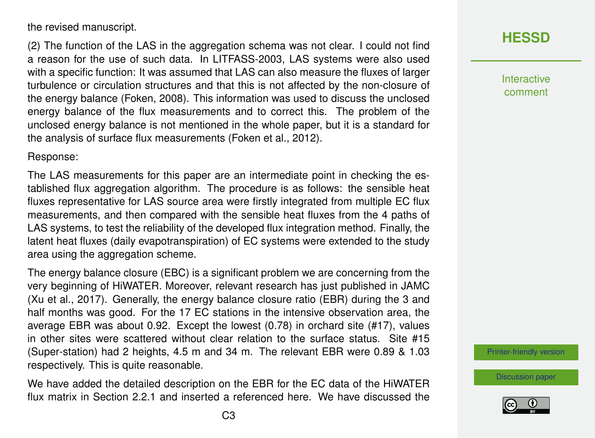the revised manuscript.

(2) The function of the LAS in the aggregation schema was not clear. I could not find a reason for the use of such data. In LITFASS-2003, LAS systems were also used with a specific function: It was assumed that LAS can also measure the fluxes of larger turbulence or circulation structures and that this is not affected by the non-closure of the energy balance (Foken, 2008). This information was used to discuss the unclosed energy balance of the flux measurements and to correct this. The problem of the unclosed energy balance is not mentioned in the whole paper, but it is a standard for the analysis of surface flux measurements (Foken et al., 2012).

Response:

The LAS measurements for this paper are an intermediate point in checking the established flux aggregation algorithm. The procedure is as follows: the sensible heat fluxes representative for LAS source area were firstly integrated from multiple EC flux measurements, and then compared with the sensible heat fluxes from the 4 paths of LAS systems, to test the reliability of the developed flux integration method. Finally, the latent heat fluxes (daily evapotranspiration) of EC systems were extended to the study area using the aggregation scheme.

The energy balance closure (EBC) is a significant problem we are concerning from the very beginning of HiWATER. Moreover, relevant research has just published in JAMC (Xu et al., 2017). Generally, the energy balance closure ratio (EBR) during the 3 and half months was good. For the 17 EC stations in the intensive observation area, the average EBR was about 0.92. Except the lowest (0.78) in orchard site (#17), values in other sites were scattered without clear relation to the surface status. Site #15 (Super-station) had 2 heights, 4.5 m and 34 m. The relevant EBR were 0.89 & 1.03 respectively. This is quite reasonable.

We have added the detailed description on the EBR for the EC data of the HiWATER flux matrix in Section 2.2.1 and inserted a referenced here. We have discussed the Interactive comment

[Printer-friendly version](http://www.hydrol-earth-syst-sci-discuss.net/hess-2016-602/hess-2016-602-AC4-print.pdf)

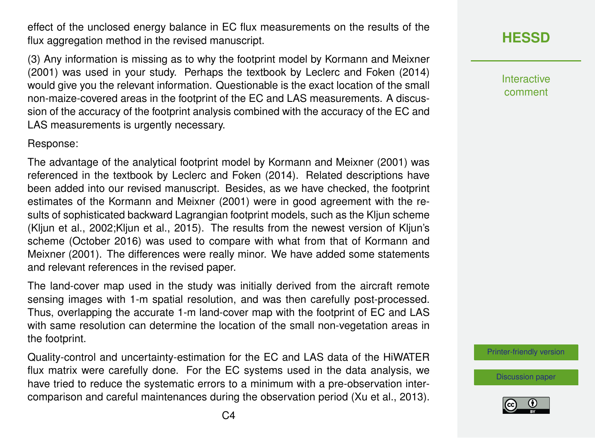effect of the unclosed energy balance in EC flux measurements on the results of the flux aggregation method in the revised manuscript.

(3) Any information is missing as to why the footprint model by Kormann and Meixner (2001) was used in your study. Perhaps the textbook by Leclerc and Foken (2014) would give you the relevant information. Questionable is the exact location of the small non-maize-covered areas in the footprint of the EC and LAS measurements. A discussion of the accuracy of the footprint analysis combined with the accuracy of the EC and LAS measurements is urgently necessary.

#### Response:

The advantage of the analytical footprint model by Kormann and Meixner (2001) was referenced in the textbook by Leclerc and Foken (2014). Related descriptions have been added into our revised manuscript. Besides, as we have checked, the footprint estimates of the Kormann and Meixner (2001) were in good agreement with the results of sophisticated backward Lagrangian footprint models, such as the Kljun scheme (Kljun et al., 2002;Kljun et al., 2015). The results from the newest version of Kljun's scheme (October 2016) was used to compare with what from that of Kormann and Meixner (2001). The differences were really minor. We have added some statements and relevant references in the revised paper.

The land-cover map used in the study was initially derived from the aircraft remote sensing images with 1-m spatial resolution, and was then carefully post-processed. Thus, overlapping the accurate 1-m land-cover map with the footprint of EC and LAS with same resolution can determine the location of the small non-vegetation areas in the footprint.

Quality-control and uncertainty-estimation for the EC and LAS data of the HiWATER flux matrix were carefully done. For the EC systems used in the data analysis, we have tried to reduce the systematic errors to a minimum with a pre-observation intercomparison and careful maintenances during the observation period (Xu et al., 2013). Interactive comment

[Printer-friendly version](http://www.hydrol-earth-syst-sci-discuss.net/hess-2016-602/hess-2016-602-AC4-print.pdf)

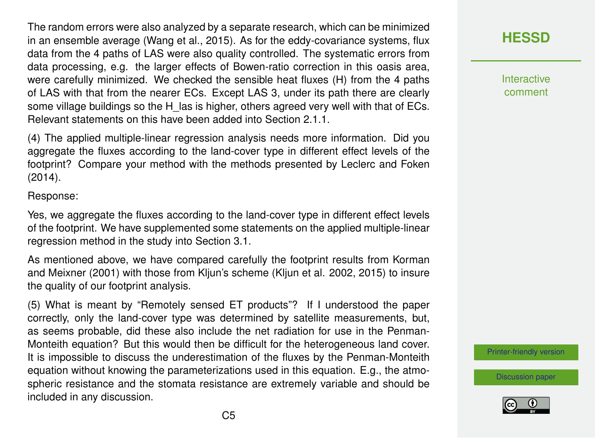The random errors were also analyzed by a separate research, which can be minimized in an ensemble average (Wang et al., 2015). As for the eddy-covariance systems, flux data from the 4 paths of LAS were also quality controlled. The systematic errors from data processing, e.g. the larger effects of Bowen-ratio correction in this oasis area, were carefully minimized. We checked the sensible heat fluxes (H) from the 4 paths of LAS with that from the nearer ECs. Except LAS 3, under its path there are clearly some village buildings so the H\_las is higher, others agreed very well with that of ECs. Relevant statements on this have been added into Section 2.1.1.

(4) The applied multiple-linear regression analysis needs more information. Did you aggregate the fluxes according to the land-cover type in different effect levels of the footprint? Compare your method with the methods presented by Leclerc and Foken (2014).

Response:

Yes, we aggregate the fluxes according to the land-cover type in different effect levels of the footprint. We have supplemented some statements on the applied multiple-linear regression method in the study into Section 3.1.

As mentioned above, we have compared carefully the footprint results from Korman and Meixner (2001) with those from Kljun's scheme (Kljun et al. 2002, 2015) to insure the quality of our footprint analysis.

(5) What is meant by "Remotely sensed ET products"? If I understood the paper correctly, only the land-cover type was determined by satellite measurements, but, as seems probable, did these also include the net radiation for use in the Penman-Monteith equation? But this would then be difficult for the heterogeneous land cover. It is impossible to discuss the underestimation of the fluxes by the Penman-Monteith equation without knowing the parameterizations used in this equation. E.g., the atmospheric resistance and the stomata resistance are extremely variable and should be included in any discussion.

**[HESSD](http://www.hydrol-earth-syst-sci-discuss.net/)**

**Interactive** comment

[Printer-friendly version](http://www.hydrol-earth-syst-sci-discuss.net/hess-2016-602/hess-2016-602-AC4-print.pdf)

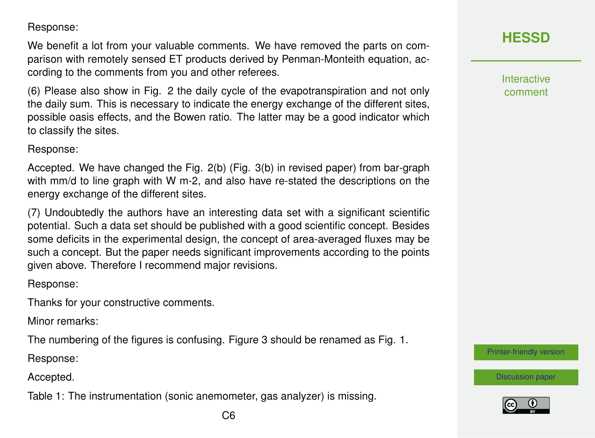Response:

We benefit a lot from your valuable comments. We have removed the parts on comparison with remotely sensed ET products derived by Penman-Monteith equation, according to the comments from you and other referees.

(6) Please also show in Fig. 2 the daily cycle of the evapotranspiration and not only the daily sum. This is necessary to indicate the energy exchange of the different sites, possible oasis effects, and the Bowen ratio. The latter may be a good indicator which to classify the sites.

Response:

Accepted. We have changed the Fig. 2(b) (Fig. 3(b) in revised paper) from bar-graph with mm/d to line graph with W m-2, and also have re-stated the descriptions on the energy exchange of the different sites.

(7) Undoubtedly the authors have an interesting data set with a significant scientific potential. Such a data set should be published with a good scientific concept. Besides some deficits in the experimental design, the concept of area-averaged fluxes may be such a concept. But the paper needs significant improvements according to the points given above. Therefore I recommend major revisions.

Response:

Thanks for your constructive comments.

Minor remarks:

The numbering of the figures is confusing. Figure 3 should be renamed as Fig. 1.

Response:

Accepted.

Table 1: The instrumentation (sonic anemometer, gas analyzer) is missing.

**Interactive** comment

[Printer-friendly version](http://www.hydrol-earth-syst-sci-discuss.net/hess-2016-602/hess-2016-602-AC4-print.pdf)

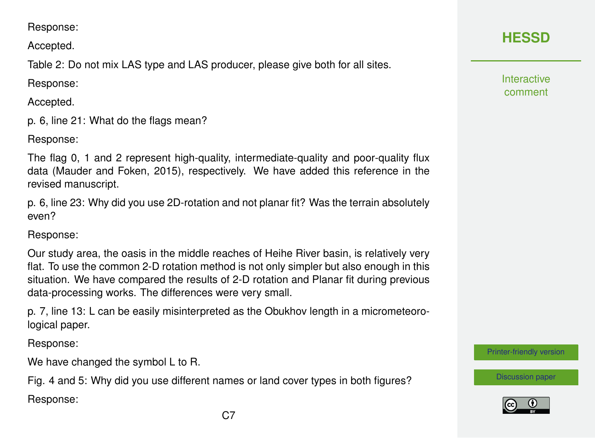Accepted.

Table 2: Do not mix LAS type and LAS producer, please give both for all sites.

Response:

Accepted.

p. 6, line 21: What do the flags mean?

Response:

The flag 0, 1 and 2 represent high-quality, intermediate-quality and poor-quality flux data (Mauder and Foken, 2015), respectively. We have added this reference in the revised manuscript.

p. 6, line 23: Why did you use 2D-rotation and not planar fit? Was the terrain absolutely even?

Response:

Our study area, the oasis in the middle reaches of Heihe River basin, is relatively very flat. To use the common 2-D rotation method is not only simpler but also enough in this situation. We have compared the results of 2-D rotation and Planar fit during previous data-processing works. The differences were very small.

p. 7, line 13: L can be easily misinterpreted as the Obukhov length in a micrometeorological paper.

Response:

We have changed the symbol L to R.

Fig. 4 and 5: Why did you use different names or land cover types in both figures? Response:

Interactive comment

[Printer-friendly version](http://www.hydrol-earth-syst-sci-discuss.net/hess-2016-602/hess-2016-602-AC4-print.pdf)

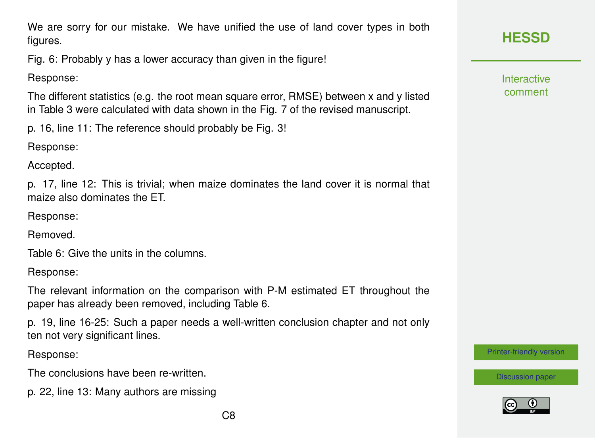We are sorry for our mistake. We have unified the use of land cover types in both figures.

Fig. 6: Probably y has a lower accuracy than given in the figure!

Response:

The different statistics (e.g. the root mean square error, RMSE) between x and y listed in Table 3 were calculated with data shown in the Fig. 7 of the revised manuscript.

p. 16, line 11: The reference should probably be Fig. 3!

Response:

Accepted.

p. 17, line 12: This is trivial; when maize dominates the land cover it is normal that maize also dominates the ET.

Response:

Removed.

Table 6: Give the units in the columns.

Response:

The relevant information on the comparison with P-M estimated ET throughout the paper has already been removed, including Table 6.

p. 19, line 16-25: Such a paper needs a well-written conclusion chapter and not only ten not very significant lines.

Response:

The conclusions have been re-written.

p. 22, line 13: Many authors are missing

**Interactive** comment

[Printer-friendly version](http://www.hydrol-earth-syst-sci-discuss.net/hess-2016-602/hess-2016-602-AC4-print.pdf)

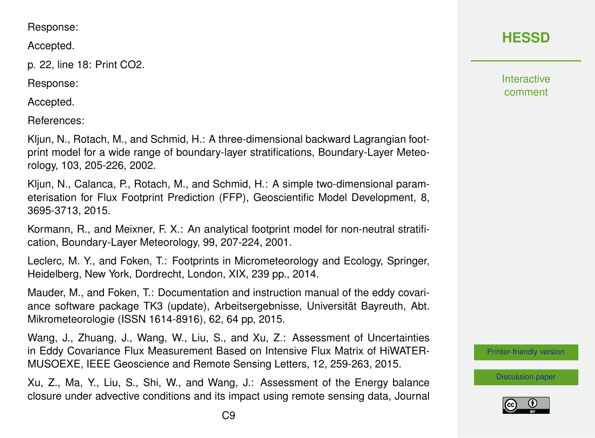#### Response:

Accepted.

p. 22, line 18: Print CO2.

Response:

Accepted.

References:

Kljun, N., Rotach, M., and Schmid, H.: A three-dimensional backward Lagrangian footprint model for a wide range of boundary-layer stratifications, Boundary-Layer Meteorology, 103, 205-226, 2002.

Kljun, N., Calanca, P., Rotach, M., and Schmid, H.: A simple two-dimensional parameterisation for Flux Footprint Prediction (FFP), Geoscientific Model Development, 8, 3695-3713, 2015.

Kormann, R., and Meixner, F. X.: An analytical footprint model for non-neutral stratification, Boundary-Layer Meteorology, 99, 207-224, 2001.

Leclerc, M. Y., and Foken, T.: Footprints in Micrometeorology and Ecology, Springer, Heidelberg, New York, Dordrecht, London, XIX, 239 pp., 2014.

Mauder, M., and Foken, T.: Documentation and instruction manual of the eddy covariance software package TK3 (update), Arbeitsergebnisse, Universität Bayreuth, Abt. Mikrometeorologie (ISSN 1614-8916), 62, 64 pp, 2015.

Wang, J., Zhuang, J., Wang, W., Liu, S., and Xu, Z.: Assessment of Uncertainties in Eddy Covariance Flux Measurement Based on Intensive Flux Matrix of HiWATER-MUSOEXE, IEEE Geoscience and Remote Sensing Letters, 12, 259-263, 2015.

Xu, Z., Ma, Y., Liu, S., Shi, W., and Wang, J.: Assessment of the Energy balance closure under advective conditions and its impact using remote sensing data, Journal

## **[HESSD](http://www.hydrol-earth-syst-sci-discuss.net/)**

**Interactive** comment

[Printer-friendly version](http://www.hydrol-earth-syst-sci-discuss.net/hess-2016-602/hess-2016-602-AC4-print.pdf)